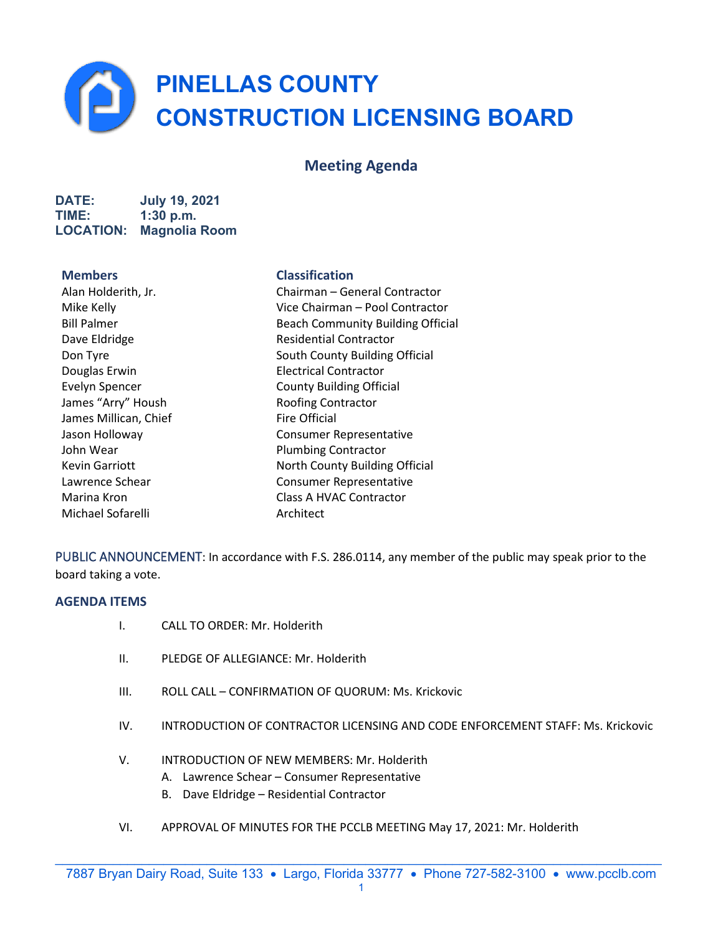**PINELLAS COUNTY CONSTRUCTION LICENSING BOARD** 

# **Meeting Agenda**

**DATE: July 19, 2021 TIME: 1:30 p.m. LOCATION: Magnolia Room**

Douglas Erwin Electrical Contractor James "Arry" Housh Roofing Contractor James Millican, Chief Fire Official John Wear **Plumbing Contractor** Michael Sofarelli **Architect** 

# **Members Classification**

Alan Holderith, Jr. Chairman – General Contractor Mike Kelly Vice Chairman – Pool Contractor Bill Palmer **Beach Community Building Official** Dave Eldridge **Residential Contractor** Don Tyre South County Building Official Evelyn Spencer **County Building Official** Jason Holloway Consumer Representative Kevin Garriott North County Building Official Lawrence Schear Consumer Representative Marina Kron Class A HVAC Contractor

PUBLIC ANNOUNCEMENT: In accordance with F.S. 286.0114, any member of the public may speak prior to the board taking a vote.

# **AGENDA ITEMS**

- I. CALL TO ORDER: Mr. Holderith
- II. PLEDGE OF ALLEGIANCE: Mr. Holderith
- III. ROLL CALL CONFIRMATION OF QUORUM: Ms. Krickovic
- IV. INTRODUCTION OF CONTRACTOR LICENSING AND CODE ENFORCEMENT STAFF: Ms. Krickovic
- V. INTRODUCTION OF NEW MEMBERS: Mr. Holderith
	- A. Lawrence Schear Consumer Representative
	- B. Dave Eldridge Residential Contractor
- VI. APPROVAL OF MINUTES FOR THE PCCLB MEETING May 17, 2021: Mr. Holderith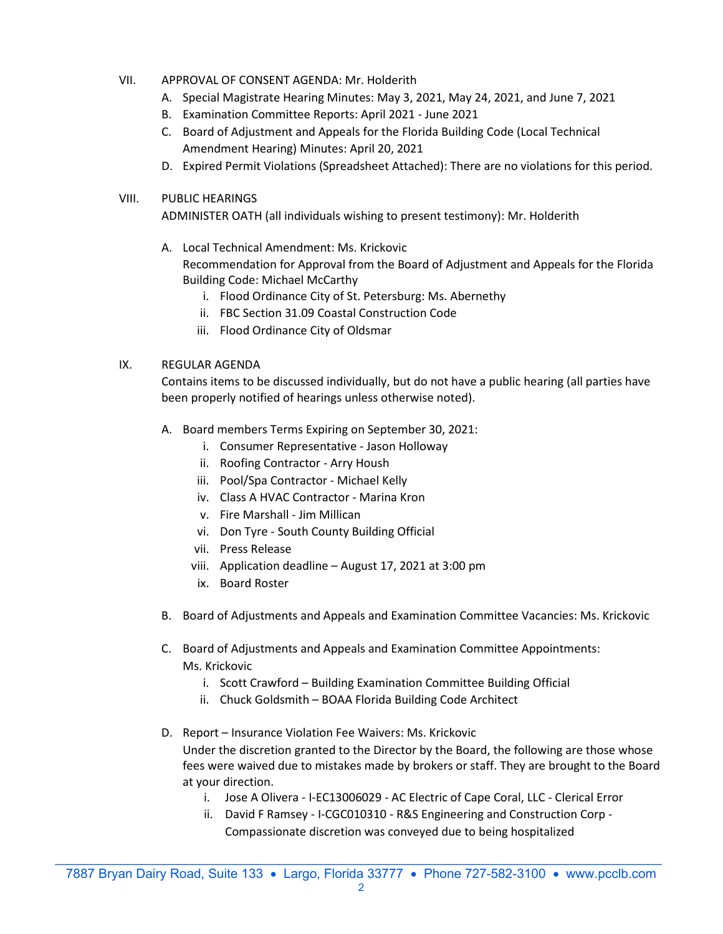- VII. APPROVAL OF CONSENT AGENDA: Mr. Holderith
	- A. Special Magistrate Hearing Minutes: May 3, 2021, May 24, 2021, and June 7, 2021
	- B. Examination Committee Reports: April 2021 June 2021
	- C. Board of Adjustment and Appeals for the Florida Building Code (Local Technical Amendment Hearing) Minutes: April 20, 2021
	- D. Expired Permit Violations (Spreadsheet Attached): There are no violations for this period.

# VIII. PUBLIC HEARINGS

ADMINISTER OATH (all individuals wishing to present testimony): Mr. Holderith

- A. Local Technical Amendment: Ms. Krickovic Recommendation for Approval from the Board of Adjustment and Appeals for the Florida Building Code: Michael McCarthy
	- i. Flood Ordinance City of St. Petersburg: Ms. Abernethy
	- ii. FBC Section 31.09 Coastal Construction Code
	- iii. Flood Ordinance City of Oldsmar

# IX. REGULAR AGENDA

Contains items to be discussed individually, but do not have a public hearing (all parties have been properly notified of hearings unless otherwise noted).

- A. Board members Terms Expiring on September 30, 2021:
	- i. Consumer Representative Jason Holloway
	- ii. Roofing Contractor Arry Housh
	- iii. Pool/Spa Contractor Michael Kelly
	- iv. Class A HVAC Contractor Marina Kron
	- v. Fire Marshall Jim Millican
	- vi. Don Tyre South County Building Official
	- vii. Press Release
	- viii. Application deadline August 17, 2021 at 3:00 pm
	- ix. Board Roster
- B. Board of Adjustments and Appeals and Examination Committee Vacancies: Ms. Krickovic
- C. Board of Adjustments and Appeals and Examination Committee Appointments: Ms. Krickovic
	- i. Scott Crawford Building Examination Committee Building Official
	- ii. Chuck Goldsmith BOAA Florida Building Code Architect
- D. Report Insurance Violation Fee Waivers: Ms. Krickovic Under the discretion granted to the Director by the Board, the following are those whose fees were waived due to mistakes made by brokers or staff. They are brought to the Board at your direction.
	- i. Jose A Olivera I-EC13006029 AC Electric of Cape Coral, LLC Clerical Error
	- ii. David F Ramsey I-CGC010310 R&S Engineering and Construction Corp Compassionate discretion was conveyed due to being hospitalized